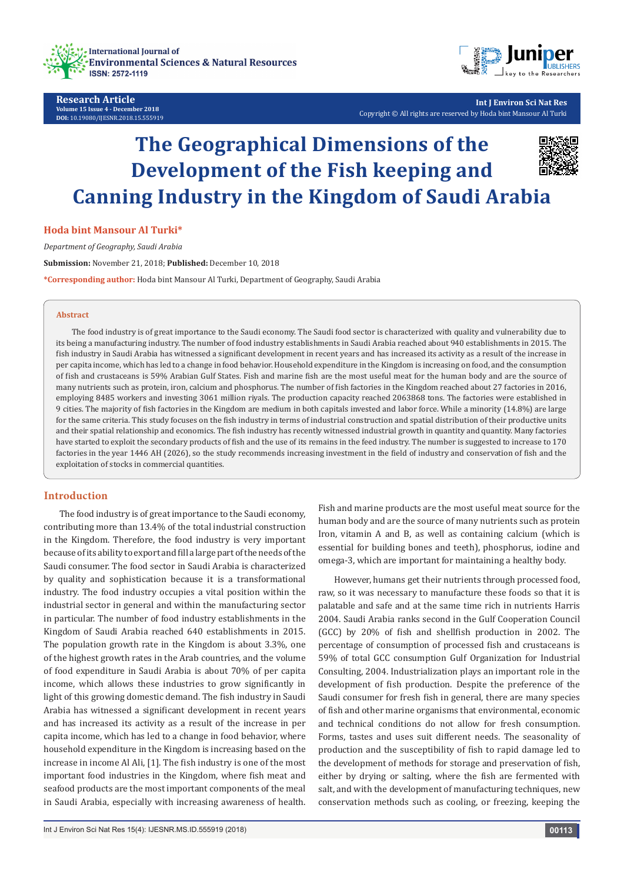

**Research Article Volume 15 Issue 4 - December 2018 DOI:** [10.19080/IJESNR.2018.15.555919](http://dx.doi.org/10.19080/IJESNR.2018.15.555919)



**Int J Environ Sci Nat Res** Copyright © All rights are reserved by Hoda bint Mansour Al Turki

# **The Geographical Dimensions of the Development of the Fish keeping and Canning Industry in the Kingdom of Saudi Arabia**



# **Hoda bint Mansour Al Turki\***

*Department of Geography, Saudi Arabia*

**Submission:** November 21, 2018; **Published:** December 10, 2018

**\*Corresponding author:** Hoda bint Mansour Al Turki, Department of Geography, Saudi Arabia

#### **Abstract**

The food industry is of great importance to the Saudi economy. The Saudi food sector is characterized with quality and vulnerability due to its being a manufacturing industry. The number of food industry establishments in Saudi Arabia reached about 940 establishments in 2015. The fish industry in Saudi Arabia has witnessed a significant development in recent years and has increased its activity as a result of the increase in per capita income, which has led to a change in food behavior. Household expenditure in the Kingdom is increasing on food, and the consumption of fish and crustaceans is 59% Arabian Gulf States. Fish and marine fish are the most useful meat for the human body and are the source of many nutrients such as protein, iron, calcium and phosphorus. The number of fish factories in the Kingdom reached about 27 factories in 2016, employing 8485 workers and investing 3061 million riyals. The production capacity reached 2063868 tons. The factories were established in 9 cities. The majority of fish factories in the Kingdom are medium in both capitals invested and labor force. While a minority (14.8%) are large for the same criteria. This study focuses on the fish industry in terms of industrial construction and spatial distribution of their productive units and their spatial relationship and economics. The fish industry has recently witnessed industrial growth in quantity and quantity. Many factories have started to exploit the secondary products of fish and the use of its remains in the feed industry. The number is suggested to increase to 170 factories in the year 1446 AH (2026), so the study recommends increasing investment in the field of industry and conservation of fish and the exploitation of stocks in commercial quantities.

# **Introduction**

The food industry is of great importance to the Saudi economy, contributing more than 13.4% of the total industrial construction in the Kingdom. Therefore, the food industry is very important because of its ability to export and fill a large part of the needs of the Saudi consumer. The food sector in Saudi Arabia is characterized by quality and sophistication because it is a transformational industry. The food industry occupies a vital position within the industrial sector in general and within the manufacturing sector in particular. The number of food industry establishments in the Kingdom of Saudi Arabia reached 640 establishments in 2015. The population growth rate in the Kingdom is about 3.3%, one of the highest growth rates in the Arab countries, and the volume of food expenditure in Saudi Arabia is about 70% of per capita income, which allows these industries to grow significantly in light of this growing domestic demand. The fish industry in Saudi Arabia has witnessed a significant development in recent years and has increased its activity as a result of the increase in per capita income, which has led to a change in food behavior, where household expenditure in the Kingdom is increasing based on the increase in income Al Ali, [1]. The fish industry is one of the most important food industries in the Kingdom, where fish meat and seafood products are the most important components of the meal in Saudi Arabia, especially with increasing awareness of health.

Fish and marine products are the most useful meat source for the human body and are the source of many nutrients such as protein Iron, vitamin A and B, as well as containing calcium (which is essential for building bones and teeth), phosphorus, iodine and omega-3, which are important for maintaining a healthy body.

However, humans get their nutrients through processed food, raw, so it was necessary to manufacture these foods so that it is palatable and safe and at the same time rich in nutrients Harris 2004. Saudi Arabia ranks second in the Gulf Cooperation Council (GCC) by 20% of fish and shellfish production in 2002. The percentage of consumption of processed fish and crustaceans is 59% of total GCC consumption Gulf Organization for Industrial Consulting, 2004. Industrialization plays an important role in the development of fish production. Despite the preference of the Saudi consumer for fresh fish in general, there are many species of fish and other marine organisms that environmental, economic and technical conditions do not allow for fresh consumption. Forms, tastes and uses suit different needs. The seasonality of production and the susceptibility of fish to rapid damage led to the development of methods for storage and preservation of fish, either by drying or salting, where the fish are fermented with salt, and with the development of manufacturing techniques, new conservation methods such as cooling, or freezing, keeping the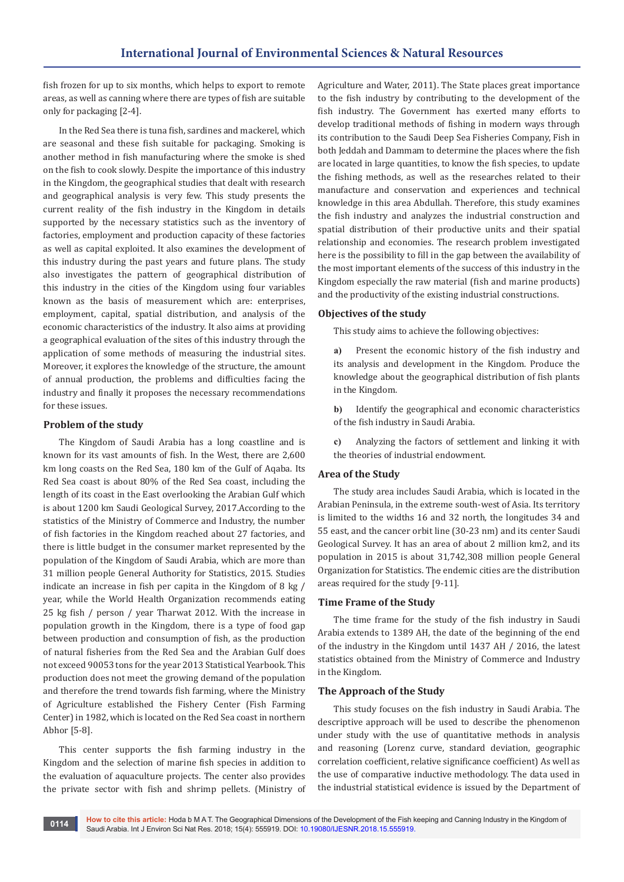fish frozen for up to six months, which helps to export to remote areas, as well as canning where there are types of fish are suitable only for packaging [2-4].

In the Red Sea there is tuna fish, sardines and mackerel, which are seasonal and these fish suitable for packaging. Smoking is another method in fish manufacturing where the smoke is shed on the fish to cook slowly. Despite the importance of this industry in the Kingdom, the geographical studies that dealt with research and geographical analysis is very few. This study presents the current reality of the fish industry in the Kingdom in details supported by the necessary statistics such as the inventory of factories, employment and production capacity of these factories as well as capital exploited. It also examines the development of this industry during the past years and future plans. The study also investigates the pattern of geographical distribution of this industry in the cities of the Kingdom using four variables known as the basis of measurement which are: enterprises, employment, capital, spatial distribution, and analysis of the economic characteristics of the industry. It also aims at providing a geographical evaluation of the sites of this industry through the application of some methods of measuring the industrial sites. Moreover, it explores the knowledge of the structure, the amount of annual production, the problems and difficulties facing the industry and finally it proposes the necessary recommendations for these issues.

# **Problem of the study**

The Kingdom of Saudi Arabia has a long coastline and is known for its vast amounts of fish. In the West, there are 2,600 km long coasts on the Red Sea, 180 km of the Gulf of Aqaba. Its Red Sea coast is about 80% of the Red Sea coast, including the length of its coast in the East overlooking the Arabian Gulf which is about 1200 km Saudi Geological Survey, 2017.According to the statistics of the Ministry of Commerce and Industry, the number of fish factories in the Kingdom reached about 27 factories, and there is little budget in the consumer market represented by the population of the Kingdom of Saudi Arabia, which are more than 31 million people General Authority for Statistics, 2015. Studies indicate an increase in fish per capita in the Kingdom of 8 kg / year, while the World Health Organization recommends eating 25 kg fish / person / year Tharwat 2012. With the increase in population growth in the Kingdom, there is a type of food gap between production and consumption of fish, as the production of natural fisheries from the Red Sea and the Arabian Gulf does not exceed 90053 tons for the year 2013 Statistical Yearbook. This production does not meet the growing demand of the population and therefore the trend towards fish farming, where the Ministry of Agriculture established the Fishery Center (Fish Farming Center) in 1982, which is located on the Red Sea coast in northern Abhor [5-8].

This center supports the fish farming industry in the Kingdom and the selection of marine fish species in addition to the evaluation of aquaculture projects. The center also provides the private sector with fish and shrimp pellets. (Ministry of Agriculture and Water, 2011). The State places great importance to the fish industry by contributing to the development of the fish industry. The Government has exerted many efforts to develop traditional methods of fishing in modern ways through its contribution to the Saudi Deep Sea Fisheries Company, Fish in both Jeddah and Dammam to determine the places where the fish are located in large quantities, to know the fish species, to update the fishing methods, as well as the researches related to their manufacture and conservation and experiences and technical knowledge in this area Abdullah. Therefore, this study examines the fish industry and analyzes the industrial construction and spatial distribution of their productive units and their spatial relationship and economies. The research problem investigated here is the possibility to fill in the gap between the availability of the most important elements of the success of this industry in the Kingdom especially the raw material (fish and marine products) and the productivity of the existing industrial constructions.

# **Objectives of the study**

This study aims to achieve the following objectives:

- **a)** Present the economic history of the fish industry and its analysis and development in the Kingdom. Produce the knowledge about the geographical distribution of fish plants in the Kingdom.
- **b)** Identify the geographical and economic characteristics of the fish industry in Saudi Arabia.
- **c)** Analyzing the factors of settlement and linking it with the theories of industrial endowment.

# **Area of the Study**

The study area includes Saudi Arabia, which is located in the Arabian Peninsula, in the extreme south-west of Asia. Its territory is limited to the widths 16 and 32 north, the longitudes 34 and 55 east, and the cancer orbit line (30-23 nm) and its center Saudi Geological Survey. It has an area of about 2 million km2, and its population in 2015 is about 31,742,308 million people General Organization for Statistics. The endemic cities are the distribution areas required for the study [9-11].

## **Time Frame of the Study**

The time frame for the study of the fish industry in Saudi Arabia extends to 1389 AH, the date of the beginning of the end of the industry in the Kingdom until 1437 AH / 2016, the latest statistics obtained from the Ministry of Commerce and Industry in the Kingdom.

# **The Approach of the Study**

This study focuses on the fish industry in Saudi Arabia. The descriptive approach will be used to describe the phenomenon under study with the use of quantitative methods in analysis and reasoning (Lorenz curve, standard deviation, geographic correlation coefficient, relative significance coefficient) As well as the use of comparative inductive methodology. The data used in the industrial statistical evidence is issued by the Department of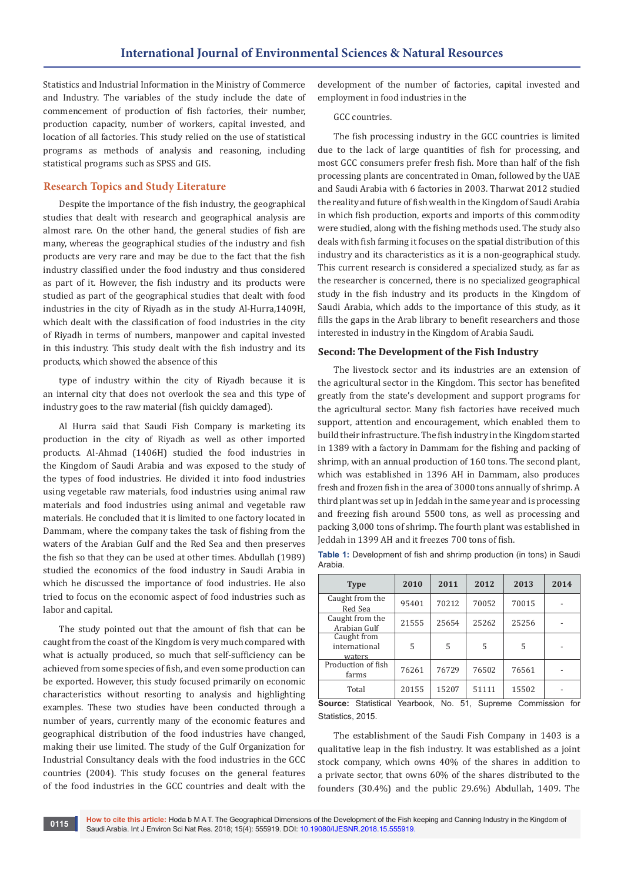Statistics and Industrial Information in the Ministry of Commerce and Industry. The variables of the study include the date of commencement of production of fish factories, their number, production capacity, number of workers, capital invested, and location of all factories. This study relied on the use of statistical programs as methods of analysis and reasoning, including statistical programs such as SPSS and GIS.

# **Research Topics and Study Literature**

Despite the importance of the fish industry, the geographical studies that dealt with research and geographical analysis are almost rare. On the other hand, the general studies of fish are many, whereas the geographical studies of the industry and fish products are very rare and may be due to the fact that the fish industry classified under the food industry and thus considered as part of it. However, the fish industry and its products were studied as part of the geographical studies that dealt with food industries in the city of Riyadh as in the study Al-Hurra,1409H, which dealt with the classification of food industries in the city of Riyadh in terms of numbers, manpower and capital invested in this industry. This study dealt with the fish industry and its products, which showed the absence of this

type of industry within the city of Riyadh because it is an internal city that does not overlook the sea and this type of industry goes to the raw material (fish quickly damaged).

Al Hurra said that Saudi Fish Company is marketing its production in the city of Riyadh as well as other imported products. Al-Ahmad (1406H) studied the food industries in the Kingdom of Saudi Arabia and was exposed to the study of the types of food industries. He divided it into food industries using vegetable raw materials, food industries using animal raw materials and food industries using animal and vegetable raw materials. He concluded that it is limited to one factory located in Dammam, where the company takes the task of fishing from the waters of the Arabian Gulf and the Red Sea and then preserves the fish so that they can be used at other times. Abdullah (1989) studied the economics of the food industry in Saudi Arabia in which he discussed the importance of food industries. He also tried to focus on the economic aspect of food industries such as labor and capital.

The study pointed out that the amount of fish that can be caught from the coast of the Kingdom is very much compared with what is actually produced, so much that self-sufficiency can be achieved from some species of fish, and even some production can be exported. However, this study focused primarily on economic characteristics without resorting to analysis and highlighting examples. These two studies have been conducted through a number of years, currently many of the economic features and geographical distribution of the food industries have changed, making their use limited. The study of the Gulf Organization for Industrial Consultancy deals with the food industries in the GCC countries (2004). This study focuses on the general features of the food industries in the GCC countries and dealt with the

development of the number of factories, capital invested and employment in food industries in the

#### GCC countries.

The fish processing industry in the GCC countries is limited due to the lack of large quantities of fish for processing, and most GCC consumers prefer fresh fish. More than half of the fish processing plants are concentrated in Oman, followed by the UAE and Saudi Arabia with 6 factories in 2003. Tharwat 2012 studied the reality and future of fish wealth in the Kingdom of Saudi Arabia in which fish production, exports and imports of this commodity were studied, along with the fishing methods used. The study also deals with fish farming it focuses on the spatial distribution of this industry and its characteristics as it is a non-geographical study. This current research is considered a specialized study, as far as the researcher is concerned, there is no specialized geographical study in the fish industry and its products in the Kingdom of Saudi Arabia, which adds to the importance of this study, as it fills the gaps in the Arab library to benefit researchers and those interested in industry in the Kingdom of Arabia Saudi.

#### **Second: The Development of the Fish Industry**

The livestock sector and its industries are an extension of the agricultural sector in the Kingdom. This sector has benefited greatly from the state's development and support programs for the agricultural sector. Many fish factories have received much support, attention and encouragement, which enabled them to build their infrastructure. The fish industry in the Kingdom started in 1389 with a factory in Dammam for the fishing and packing of shrimp, with an annual production of 160 tons. The second plant, which was established in 1396 AH in Dammam, also produces fresh and frozen fish in the area of 3000 tons annually of shrimp. A third plant was set up in Jeddah in the same year and is processing and freezing fish around 5500 tons, as well as processing and packing 3,000 tons of shrimp. The fourth plant was established in Jeddah in 1399 AH and it freezes 700 tons of fish.

| <b>Type</b>                            | 2010  | 2011  | 2012  | 2013  | 2014 |
|----------------------------------------|-------|-------|-------|-------|------|
| Caught from the<br>Red Sea             | 95401 | 70212 | 70052 | 70015 |      |
| Caught from the<br>Arabian Gulf        | 21555 | 25654 | 25262 | 25256 |      |
| Caught from<br>international<br>waters | 5     | 5     | 5     | 5     |      |
| Production of fish<br>farms            | 76261 | 76729 | 76502 | 76561 |      |
| Total                                  | 20155 | 15207 | 51111 | 15502 |      |

**Table 1:** Development of fish and shrimp production (in tons) in Saudi Arabia.

**Source:** Statistical Yearbook, No. 51, Supreme Commission for Statistics, 2015.

The establishment of the Saudi Fish Company in 1403 is a qualitative leap in the fish industry. It was established as a joint stock company, which owns 40% of the shares in addition to a private sector, that owns 60% of the shares distributed to the founders (30.4%) and the public 29.6%) Abdullah, 1409. The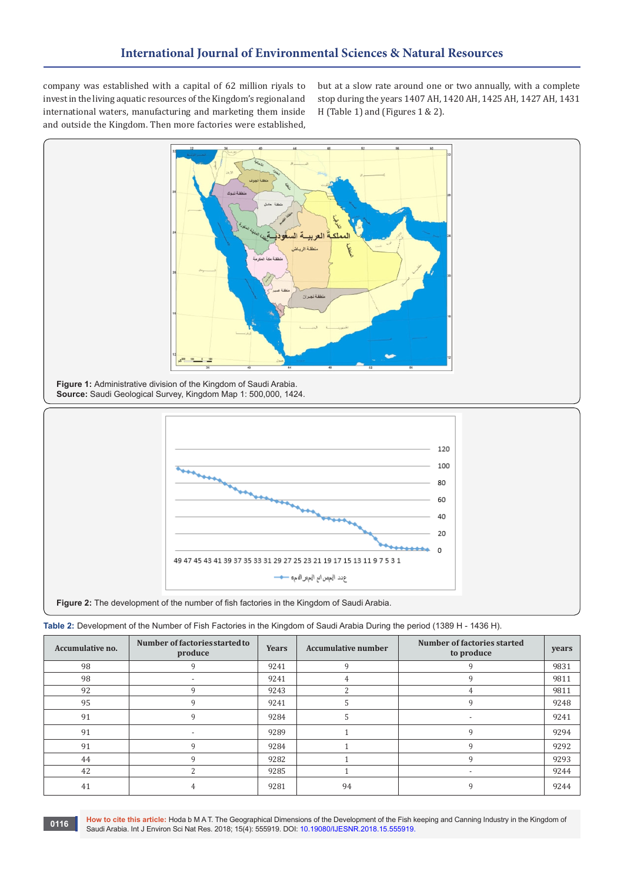company was established with a capital of 62 million riyals to invest in the living aquatic resources of the Kingdom's regional and international waters, manufacturing and marketing them inside and outside the Kingdom. Then more factories were established,

but at a slow rate around one or two annually, with a complete stop during the years 1407 AH, 1420 AH, 1425 AH, 1427 AH, 1431 H (Table 1) and (Figures 1 & 2).





| Table 2: Development of the Number of Fish Factories in the Kingdom of Saudi Arabia During the period (1389 H - 1436 H). |  |  |  |
|--------------------------------------------------------------------------------------------------------------------------|--|--|--|

| Accumulative no. | Number of factories started to<br>produce | Years | <b>Accumulative number</b> | Number of factories started<br>to produce | years |
|------------------|-------------------------------------------|-------|----------------------------|-------------------------------------------|-------|
| 98               |                                           | 9241  |                            |                                           | 9831  |
| 98               | $\overline{\phantom{a}}$                  | 9241  |                            |                                           | 9811  |
| 92               | q                                         | 9243  | $\mathbf{\Omega}$          | 4                                         | 9811  |
| 95               | q                                         | 9241  |                            | $\mathsf{q}$                              | 9248  |
| 91               | q                                         | 9284  |                            | $\overline{\phantom{0}}$                  | 9241  |
| 91               |                                           | 9289  |                            |                                           | 9294  |
| 91               | q                                         | 9284  |                            | Q                                         | 9292  |
| 44               | q                                         | 9282  |                            |                                           | 9293  |
| 42               |                                           | 9285  |                            | $\overline{\phantom{0}}$                  | 9244  |
| 41               |                                           | 9281  | 94                         |                                           | 9244  |

**How to cite this article:** Hoda b M A T. The Geographical Dimensions of the Development of the Fish keeping and Canning Industry in the Kingdom of Saudi Arabia. Int J Environ Sci Nat Res. 2018; 15(4): 555919. DOI: [10.19080/IJESNR.2018.15.555919.](http://dx.doi.org/10.19080/IJESNR.2018.15.555919) **<sup>0116</sup>**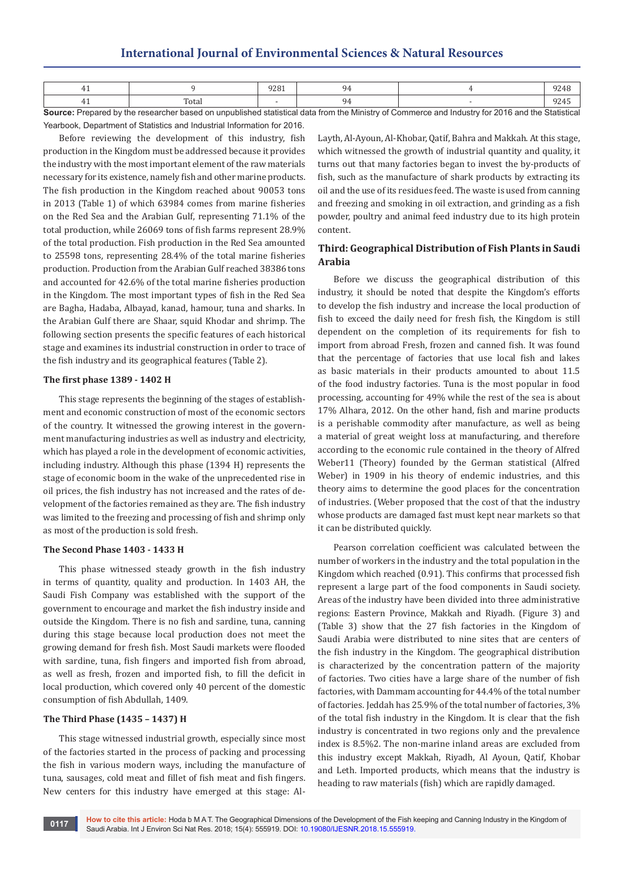# **International Journal of Environmental Sciences & Natural Resources**

|       | חרר<br>,<br>____ |  | , ,                      |
|-------|------------------|--|--------------------------|
| Total |                  |  | $\overline{\phantom{a}}$ |

**Source:** Prepared by the researcher based on unpublished statistical data from the Ministry of Commerce and Industry for 2016 and the Statistical Yearbook, Department of Statistics and Industrial Information for 2016.

Before reviewing the development of this industry, fish production in the Kingdom must be addressed because it provides the industry with the most important element of the raw materials necessary for its existence, namely fish and other marine products. The fish production in the Kingdom reached about 90053 tons in 2013 (Table 1) of which 63984 comes from marine fisheries on the Red Sea and the Arabian Gulf, representing 71.1% of the total production, while 26069 tons of fish farms represent 28.9% of the total production. Fish production in the Red Sea amounted to 25598 tons, representing 28.4% of the total marine fisheries production. Production from the Arabian Gulf reached 38386 tons and accounted for 42.6% of the total marine fisheries production in the Kingdom. The most important types of fish in the Red Sea are Bagha, Hadaba, Albayad, kanad, hamour, tuna and sharks. In the Arabian Gulf there are Shaar, squid Khodar and shrimp. The following section presents the specific features of each historical stage and examines its industrial construction in order to trace of the fish industry and its geographical features (Table 2).

#### **The first phase 1389 - 1402 H**

This stage represents the beginning of the stages of establishment and economic construction of most of the economic sectors of the country. It witnessed the growing interest in the government manufacturing industries as well as industry and electricity, which has played a role in the development of economic activities, including industry. Although this phase (1394 H) represents the stage of economic boom in the wake of the unprecedented rise in oil prices, the fish industry has not increased and the rates of development of the factories remained as they are. The fish industry was limited to the freezing and processing of fish and shrimp only as most of the production is sold fresh.

## **The Second Phase 1403 - 1433 H**

This phase witnessed steady growth in the fish industry in terms of quantity, quality and production. In 1403 AH, the Saudi Fish Company was established with the support of the government to encourage and market the fish industry inside and outside the Kingdom. There is no fish and sardine, tuna, canning during this stage because local production does not meet the growing demand for fresh fish. Most Saudi markets were flooded with sardine, tuna, fish fingers and imported fish from abroad, as well as fresh, frozen and imported fish, to fill the deficit in local production, which covered only 40 percent of the domestic consumption of fish Abdullah, 1409.

# **The Third Phase (1435 – 1437) H**

This stage witnessed industrial growth, especially since most of the factories started in the process of packing and processing the fish in various modern ways, including the manufacture of tuna, sausages, cold meat and fillet of fish meat and fish fingers. New centers for this industry have emerged at this stage: AlLayth, Al-Ayoun, Al-Khobar, Qatif, Bahra and Makkah. At this stage, which witnessed the growth of industrial quantity and quality, it turns out that many factories began to invest the by-products of fish, such as the manufacture of shark products by extracting its oil and the use of its residues feed. The waste is used from canning and freezing and smoking in oil extraction, and grinding as a fish powder, poultry and animal feed industry due to its high protein content.

# **Third: Geographical Distribution of Fish Plants in Saudi Arabia**

Before we discuss the geographical distribution of this industry, it should be noted that despite the Kingdom's efforts to develop the fish industry and increase the local production of fish to exceed the daily need for fresh fish, the Kingdom is still dependent on the completion of its requirements for fish to import from abroad Fresh, frozen and canned fish. It was found that the percentage of factories that use local fish and lakes as basic materials in their products amounted to about 11.5 of the food industry factories. Tuna is the most popular in food processing, accounting for 49% while the rest of the sea is about 17% Alhara, 2012. On the other hand, fish and marine products is a perishable commodity after manufacture, as well as being a material of great weight loss at manufacturing, and therefore according to the economic rule contained in the theory of Alfred Weber11 (Theory) founded by the German statistical (Alfred Weber) in 1909 in his theory of endemic industries, and this theory aims to determine the good places for the concentration of industries. (Weber proposed that the cost of that the industry whose products are damaged fast must kept near markets so that it can be distributed quickly.

Pearson correlation coefficient was calculated between the number of workers in the industry and the total population in the Kingdom which reached (0.91). This confirms that processed fish represent a large part of the food components in Saudi society. Areas of the industry have been divided into three administrative regions: Eastern Province, Makkah and Riyadh. (Figure 3) and (Table 3) show that the 27 fish factories in the Kingdom of Saudi Arabia were distributed to nine sites that are centers of the fish industry in the Kingdom. The geographical distribution is characterized by the concentration pattern of the majority of factories. Two cities have a large share of the number of fish factories, with Dammam accounting for 44.4% of the total number of factories. Jeddah has 25.9% of the total number of factories, 3% of the total fish industry in the Kingdom. It is clear that the fish industry is concentrated in two regions only and the prevalence index is 8.5%2. The non-marine inland areas are excluded from this industry except Makkah, Riyadh, Al Ayoun, Qatif, Khobar and Leth. Imported products, which means that the industry is heading to raw materials (fish) which are rapidly damaged.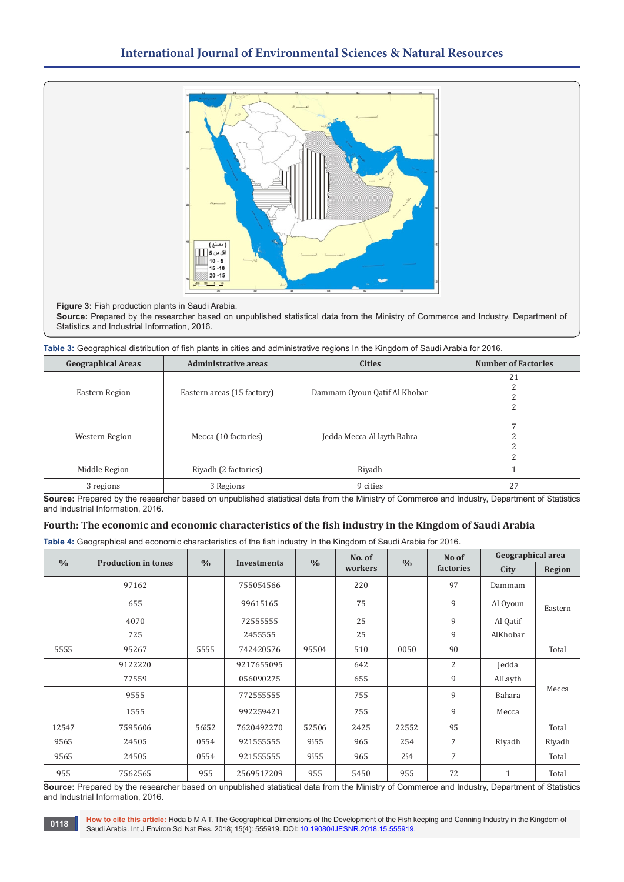

**Figure 3:** Fish production plants in Saudi Arabia.

**Source:** Prepared by the researcher based on unpublished statistical data from the Ministry of Commerce and Industry, Department of Statistics and Industrial Information, 2016.

| <b>Geographical Areas</b> | <b>Administrative areas</b> | <b>Cities</b>                | <b>Number of Factories</b> |
|---------------------------|-----------------------------|------------------------------|----------------------------|
|                           |                             |                              | 21                         |
| Eastern Region            | Eastern areas (15 factory)  | Dammam Oyoun Qatif Al Khobar |                            |
|                           |                             |                              |                            |
|                           |                             |                              |                            |
|                           |                             |                              |                            |
|                           | Mecca (10 factories)        |                              |                            |
| Western Region            |                             | Jedda Mecca Al layth Bahra   |                            |
|                           |                             |                              |                            |
|                           |                             |                              |                            |
| Middle Region             | Riyadh (2 factories)        | Riyadh                       |                            |
| 3 regions                 | 3 Regions                   | 9 cities                     | 27                         |

**Source:** Prepared by the researcher based on unpublished statistical data from the Ministry of Commerce and Industry, Department of Statistics and Industrial Information, 2016.

# **Fourth: The economic and economic characteristics of the fish industry in the Kingdom of Saudi Arabia**

**Table 4:** Geographical and economic characteristics of the fish industry In the Kingdom of Saudi Arabia for 2016.

|               |                            |               |             |                          | No. of |               | No of          | Geographical area |               |
|---------------|----------------------------|---------------|-------------|--------------------------|--------|---------------|----------------|-------------------|---------------|
| $\frac{0}{0}$ | <b>Production in tones</b> | $\frac{0}{0}$ | Investments | $\frac{0}{0}$<br>workers |        | $\frac{0}{0}$ | factories      | City              | <b>Region</b> |
|               | 97162                      |               | 755054566   |                          | 220    |               | 97             | Dammam            |               |
|               | 655                        |               | 99615165    |                          | 75     |               | 9              | Al Oyoun          | Eastern       |
|               | 4070                       |               | 72555555    |                          | 25     |               | 9              | Al Qatif          |               |
|               | 725                        |               | 2455555     |                          | 25     |               | 9              | AlKhobar          |               |
| 5555          | 95267                      | 5555          | 742420576   | 95504                    | 510    | 0050          | 90             |                   | Total         |
|               | 9122220                    |               | 9217655095  |                          | 642    |               | $\overline{2}$ | Jedda             |               |
|               | 77559                      |               | 056090275   |                          | 655    |               | 9              | AlLayth           |               |
|               | 9555                       |               | 772555555   |                          | 755    |               | 9              | Bahara            | Mecca         |
|               | 1555                       |               | 992259421   |                          | 755    |               | 9              | Mecca             |               |
| 12547         | 7595606                    | 56552         | 7620492270  | 52506                    | 2425   | 22552         | 95             |                   | Total         |
| 9565          | 24505                      | 0554          | 921555555   | 9555                     | 965    | 254           | $\overline{7}$ | Riyadh            | Riyadh        |
| 9565          | 24505                      | 0554          | 921555555   | 9555                     | 965    | 254           | $\overline{7}$ |                   | Total         |
| 955           | 7562565                    | 955           | 2569517209  | 955                      | 5450   | 955           | 72             | $\mathbf{1}$      | Total         |

**Source:** Prepared by the researcher based on unpublished statistical data from the Ministry of Commerce and Industry, Department of Statistics and Industrial Information, 2016.

**How to cite this article:** Hoda b M A T. The Geographical Dimensions of the Development of the Fish keeping and Canning Industry in the Kingdom of Saudi Arabia. Int J Environ Sci Nat Res. 2018; 15(4): 555919. DOI: [10.19080/IJESNR.2018.15.555919.](http://dx.doi.org/10.19080/IJESNR.2018.15.555919) **<sup>0118</sup>**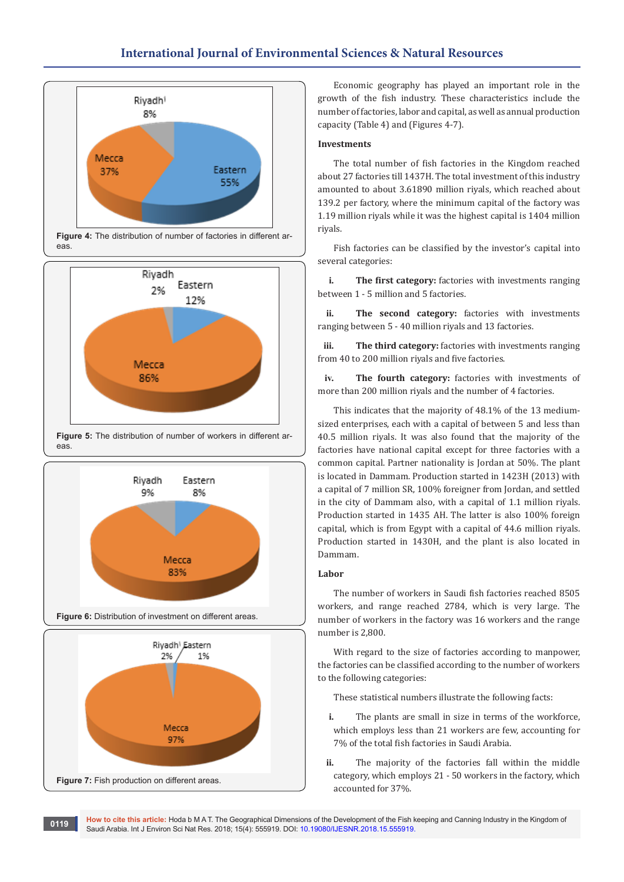# **International Journal of Environmental Sciences & Natural Resources**









Economic geography has played an important role in the growth of the fish industry. These characteristics include the number of factories, labor and capital, as well as annual production capacity (Table 4) and (Figures 4-7).

# **Investments**

The total number of fish factories in the Kingdom reached about 27 factories till 1437H. The total investment of this industry amounted to about 3.61890 million riyals, which reached about 139.2 per factory, where the minimum capital of the factory was 1.19 million riyals while it was the highest capital is 1404 million riyals.

Fish factories can be classified by the investor's capital into several categories:

**i. The first category:** factories with investments ranging between 1 - 5 million and 5 factories.

**ii. The second category:** factories with investments ranging between 5 - 40 million riyals and 13 factories.

**iii. The third category:** factories with investments ranging from 40 to 200 million riyals and five factories.

**iv. The fourth category:** factories with investments of more than 200 million riyals and the number of 4 factories.

This indicates that the majority of 48.1% of the 13 mediumsized enterprises, each with a capital of between 5 and less than 40.5 million riyals. It was also found that the majority of the factories have national capital except for three factories with a common capital. Partner nationality is Jordan at 50%. The plant is located in Dammam. Production started in 1423H (2013) with a capital of 7 million SR, 100% foreigner from Jordan, and settled in the city of Dammam also, with a capital of 1.1 million riyals. Production started in 1435 AH. The latter is also 100% foreign capital, which is from Egypt with a capital of 44.6 million riyals. Production started in 1430H, and the plant is also located in Dammam.

# **Labor**

The number of workers in Saudi fish factories reached 8505 workers, and range reached 2784, which is very large. The number of workers in the factory was 16 workers and the range number is 2,800.

With regard to the size of factories according to manpower, the factories can be classified according to the number of workers to the following categories:

These statistical numbers illustrate the following facts:

- **i.** The plants are small in size in terms of the workforce, which employs less than 21 workers are few, accounting for 7% of the total fish factories in Saudi Arabia.
- **ii.** The majority of the factories fall within the middle category, which employs 21 - 50 workers in the factory, which accounted for 37%.

**How to cite this article:** Hoda b M A T. The Geographical Dimensions of the Development of the Fish keeping and Canning Industry in the Kingdom of Saudi Arabia. Int J Environ Sci Nat Res. 2018; 15(4): 555919. DOI: [10.19080/IJESNR.2018.15.555919.](http://dx.doi.org/10.19080/IJESNR.2018.15.555919) **<sup>0119</sup>**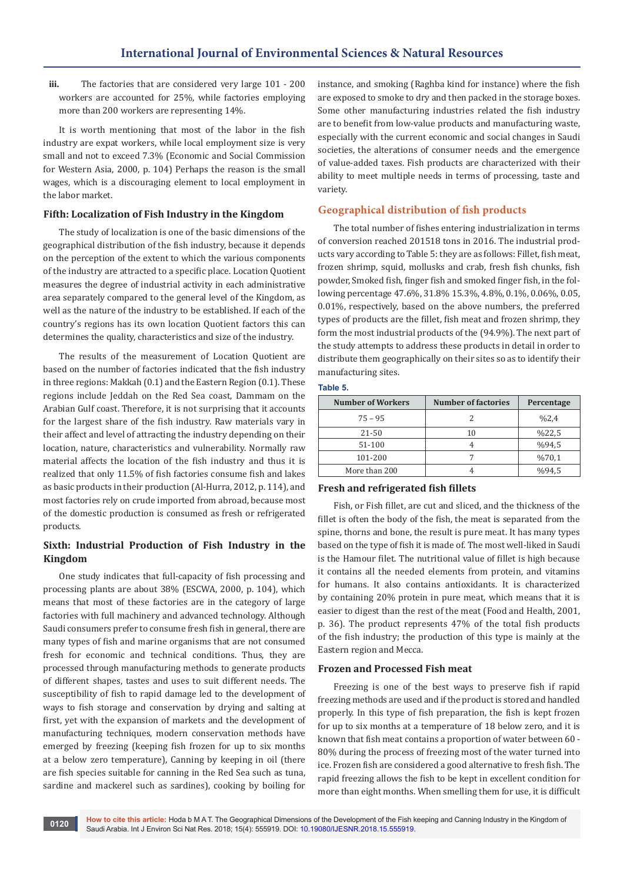**iii.** The factories that are considered very large 101 - 200 workers are accounted for 25%, while factories employing more than 200 workers are representing 14%.

It is worth mentioning that most of the labor in the fish industry are expat workers, while local employment size is very small and not to exceed 7.3% (Economic and Social Commission for Western Asia, 2000, p. 104) Perhaps the reason is the small wages, which is a discouraging element to local employment in the labor market.

# **Fifth: Localization of Fish Industry in the Kingdom**

The study of localization is one of the basic dimensions of the geographical distribution of the fish industry, because it depends on the perception of the extent to which the various components of the industry are attracted to a specific place. Location Quotient measures the degree of industrial activity in each administrative area separately compared to the general level of the Kingdom, as well as the nature of the industry to be established. If each of the country's regions has its own location Quotient factors this can determines the quality, characteristics and size of the industry.

The results of the measurement of Location Quotient are based on the number of factories indicated that the fish industry in three regions: Makkah (0.1) and the Eastern Region (0.1). These regions include Jeddah on the Red Sea coast, Dammam on the Arabian Gulf coast. Therefore, it is not surprising that it accounts for the largest share of the fish industry. Raw materials vary in their affect and level of attracting the industry depending on their location, nature, characteristics and vulnerability. Normally raw material affects the location of the fish industry and thus it is realized that only 11.5% of fish factories consume fish and lakes as basic products in their production (Al-Hurra, 2012, p. 114), and most factories rely on crude imported from abroad, because most of the domestic production is consumed as fresh or refrigerated products.

# **Sixth: Industrial Production of Fish Industry in the Kingdom**

One study indicates that full-capacity of fish processing and processing plants are about 38% (ESCWA, 2000, p. 104), which means that most of these factories are in the category of large factories with full machinery and advanced technology. Although Saudi consumers prefer to consume fresh fish in general, there are many types of fish and marine organisms that are not consumed fresh for economic and technical conditions. Thus, they are processed through manufacturing methods to generate products of different shapes, tastes and uses to suit different needs. The susceptibility of fish to rapid damage led to the development of ways to fish storage and conservation by drying and salting at first, yet with the expansion of markets and the development of manufacturing techniques, modern conservation methods have emerged by freezing (keeping fish frozen for up to six months at a below zero temperature), Canning by keeping in oil (there are fish species suitable for canning in the Red Sea such as tuna, sardine and mackerel such as sardines), cooking by boiling for

instance, and smoking (Raghba kind for instance) where the fish are exposed to smoke to dry and then packed in the storage boxes. Some other manufacturing industries related the fish industry are to benefit from low-value products and manufacturing waste, especially with the current economic and social changes in Saudi societies, the alterations of consumer needs and the emergence of value-added taxes. Fish products are characterized with their ability to meet multiple needs in terms of processing, taste and variety.

# **Geographical distribution of fish products**

The total number of fishes entering industrialization in terms of conversion reached 201518 tons in 2016. The industrial products vary according to Table 5: they are as follows: Fillet, fish meat, frozen shrimp, squid, mollusks and crab, fresh fish chunks, fish powder, Smoked fish, finger fish and smoked finger fish, in the following percentage 47.6%, 31.8% 15.3%, 4.8%, 0.1%, 0.06%, 0.05, 0.01%, respectively, based on the above numbers, the preferred types of products are the fillet, fish meat and frozen shrimp, they form the most industrial products of the (94.9%). The next part of the study attempts to address these products in detail in order to distribute them geographically on their sites so as to identify their manufacturing sites.

#### **Table 5.**

| <b>Number of Workers</b> | <b>Number of factories</b> | Percentage |
|--------------------------|----------------------------|------------|
| $75 - 95$                |                            | %2,4       |
| $21 - 50$                | 10                         | %22,5      |
| 51-100                   |                            | %94,5      |
| 101-200                  |                            | %70,1      |
| More than 200            |                            | %94.5      |

# **Fresh and refrigerated fish fillets**

Fish, or Fish fillet, are cut and sliced, and the thickness of the fillet is often the body of the fish, the meat is separated from the spine, thorns and bone, the result is pure meat. It has many types based on the type of fish it is made of. The most well-liked in Saudi is the Hamour filet. The nutritional value of fillet is high because it contains all the needed elements from protein, and vitamins for humans. It also contains antioxidants. It is characterized by containing 20% protein in pure meat, which means that it is easier to digest than the rest of the meat (Food and Health, 2001, p. 36). The product represents 47% of the total fish products of the fish industry; the production of this type is mainly at the Eastern region and Mecca.

## **Frozen and Processed Fish meat**

Freezing is one of the best ways to preserve fish if rapid freezing methods are used and if the product is stored and handled properly. In this type of fish preparation, the fish is kept frozen for up to six months at a temperature of 18 below zero, and it is known that fish meat contains a proportion of water between 60 - 80% during the process of freezing most of the water turned into ice. Frozen fish are considered a good alternative to fresh fish. The rapid freezing allows the fish to be kept in excellent condition for more than eight months. When smelling them for use, it is difficult